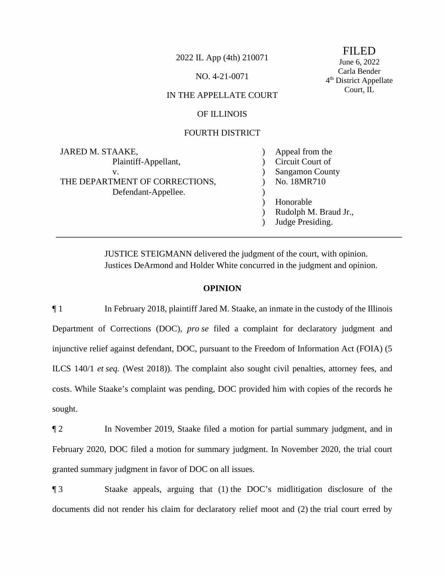2022 IL App (4th) 210071 FILED<br>June 6, 2022

NO. 4-21-0071 Carla Bender<br>
4<sup>th</sup> District Appellate

# Court, IL IN THE APPELLATE COURT

# OF ILLINOIS

### FOURTH DISTRICT

| JARED M. STAAKE,               | Appeal from the        |
|--------------------------------|------------------------|
| Plaintiff-Appellant,           | Circuit Court of       |
| v.                             | <b>Sangamon County</b> |
| THE DEPARTMENT OF CORRECTIONS, | No. 18MR710            |
| Defendant-Appellee.            |                        |
|                                | Honorable              |
|                                | Rudolph M. Braud Jr.,  |
|                                | Judge Presiding.       |

JUSTICE STEIGMANN delivered the judgment of the court, with opinion. Justices DeArmond and Holder White concurred in the judgment and opinion.

## **OPINION**

 ¶ 1 In February 2018, plaintiff Jared M. Staake, an inmate in the custody of the Illinois ILCS 140/1 *et seq.* (West 2018)). The complaint also sought civil penalties, attorney fees, and Department of Corrections (DOC), *pro se* filed a complaint for declaratory judgment and injunctive relief against defendant, DOC, pursuant to the Freedom of Information Act (FOIA) (5 costs. While Staake's complaint was pending, DOC provided him with copies of the records he sought.

¶ 2 In November 2019, Staake filed a motion for partial summary judgment, and in February 2020, DOC filed a motion for summary judgment. In November 2020, the trial court granted summary judgment in favor of DOC on all issues.

 ¶ 3 Staake appeals, arguing that (1) the DOC's midlitigation disclosure of the documents did not render his claim for declaratory relief moot and (2) the trial court erred by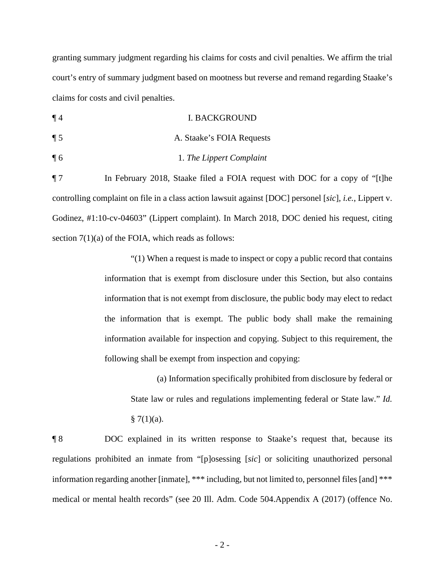granting summary judgment regarding his claims for costs and civil penalties. We affirm the trial court's entry of summary judgment based on mootness but reverse and remand regarding Staake's claims for costs and civil penalties.

¶ 4 I. BACKGROUND

- ¶ 5 A. Staake's FOIA Requests
- ¶ 6 1. *The Lippert Complaint*

 ¶ 7 In February 2018, Staake filed a FOIA request with DOC for a copy of "[t]he controlling complaint on file in a class action lawsuit against [DOC] personel [*sic*], *i.e.*, Lippert v. Godinez, #1:10-cv-04603" (Lippert complaint). In March 2018, DOC denied his request, citing section  $7(1)(a)$  of the FOIA, which reads as follows:

> "(1) When a request is made to inspect or copy a public record that contains information that is exempt from disclosure under this Section, but also contains information that is not exempt from disclosure, the public body may elect to redact the information that is exempt. The public body shall make the remaining information available for inspection and copying. Subject to this requirement, the following shall be exempt from inspection and copying:

(a) Information specifically prohibited from disclosure by federal or State law or rules and regulations implementing federal or State law." *Id.*   $§ 7(1)(a).$ 

¶ 8 DOC explained in its written response to Staake's request that, because its regulations prohibited an inmate from "[p]osessing [*sic*] or soliciting unauthorized personal information regarding another [inmate], \*\*\* including, but not limited to, personnel files [and] \*\*\* medical or mental health records" (see 20 Ill. Adm. Code 504.Appendix A (2017) (offence No.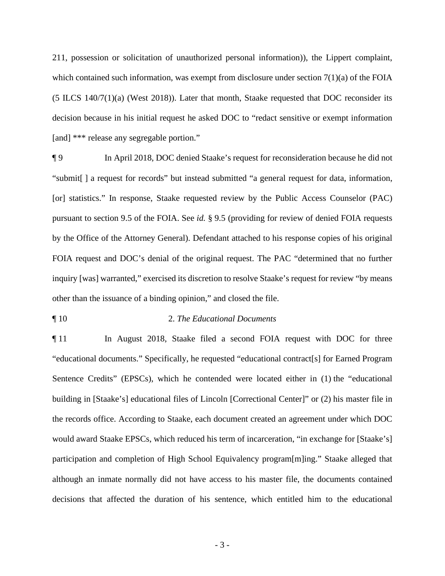which contained such information, was exempt from disclosure under section 7(1)(a) of the FOIA [and] \*\*\* release any segregable portion." 211, possession or solicitation of unauthorized personal information)), the Lippert complaint, (5 ILCS 140/7(1)(a) (West 2018)). Later that month, Staake requested that DOC reconsider its decision because in his initial request he asked DOC to "redact sensitive or exempt information

[and] \*\*\* release any segregable portion."<br>
¶ 9 In April 2018, DOC denied Staake's request for reconsideration because he did not [or] statistics." In response, Staake requested review by the Public Access Counselor (PAC) "submit[ ] a request for records" but instead submitted "a general request for data, information, pursuant to section 9.5 of the FOIA. See *id.* § 9.5 (providing for review of denied FOIA requests by the Office of the Attorney General). Defendant attached to his response copies of his original FOIA request and DOC's denial of the original request. The PAC "determined that no further inquiry [was] warranted," exercised its discretion to resolve Staake's request for review "by means other than the issuance of a binding opinion," and closed the file.

# ¶ 10 2. *The Educational Documents*

 Sentence Credits" (EPSCs), which he contended were located either in (1) the "educational building in [Staake's] educational files of Lincoln [Correctional Center]" or (2) his master file in the records office. According to Staake, each document created an agreement under which DOC would award Staake EPSCs, which reduced his term of incarceration, "in exchange for [Staake's] ¶ 11 In August 2018, Staake filed a second FOIA request with DOC for three "educational documents." Specifically, he requested "educational contract[s] for Earned Program participation and completion of High School Equivalency program[m]ing." Staake alleged that although an inmate normally did not have access to his master file, the documents contained decisions that affected the duration of his sentence, which entitled him to the educational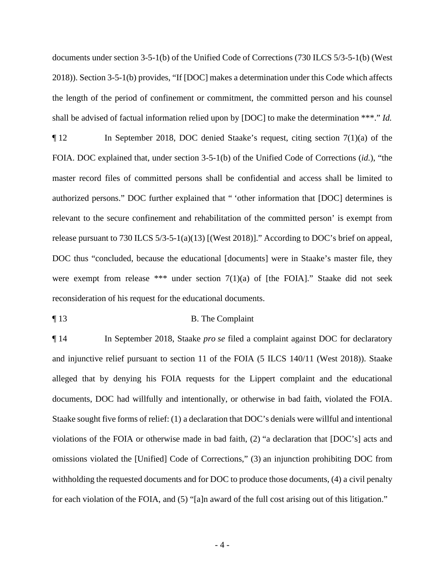documents under section 3-5-1(b) of the Unified Code of Corrections (730 ILCS 5/3-5-1(b) (West 2018)). Section 3-5-1(b) provides, "If [DOC] makes a determination under this Code which affects the length of the period of confinement or commitment, the committed person and his counsel shall be advised of factual information relied upon by [DOC] to make the determination \*\*\*." *Id.* 

 FOIA. DOC explained that, under section 3-5-1(b) of the Unified Code of Corrections (*id.*), "the authorized persons." DOC further explained that " 'other information that [DOC] determines is DOC thus "concluded, because the educational [documents] were in Staake's master file, they ¶ 12 In September 2018, DOC denied Staake's request, citing section 7(1)(a) of the master record files of committed persons shall be confidential and access shall be limited to relevant to the secure confinement and rehabilitation of the committed person' is exempt from release pursuant to 730 ILCS 5/3-5-1(a)(13) [(West 2018)]." According to DOC's brief on appeal, were exempt from release \*\*\* under section 7(1)(a) of [the FOIA]." Staake did not seek reconsideration of his request for the educational documents.

#### ¶ 13 B. The Complaint

 documents, DOC had willfully and intentionally, or otherwise in bad faith, violated the FOIA. Staake sought five forms of relief: (1) a declaration that DOC's denials were willful and intentional violations of the FOIA or otherwise made in bad faith, (2) "a declaration that [DOC's] acts and omissions violated the [Unified] Code of Corrections," (3) an injunction prohibiting DOC from withholding the requested documents and for DOC to produce those documents, (4) a civil penalty for each violation of the FOIA, and (5) "[a]n award of the full cost arising out of this litigation." ¶ 14 In September 2018, Staake *pro se* filed a complaint against DOC for declaratory and injunctive relief pursuant to section 11 of the FOIA (5 ILCS 140/11 (West 2018)). Staake alleged that by denying his FOIA requests for the Lippert complaint and the educational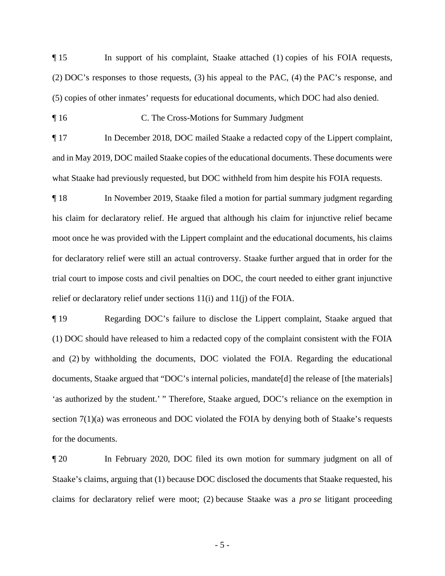¶ 15 In support of his complaint, Staake attached (1) copies of his FOIA requests, (2) DOC's responses to those requests, (3) his appeal to the PAC, (4) the PAC's response, and (5) copies of other inmates' requests for educational documents, which DOC had also denied.

¶ 16 C. The Cross-Motions for Summary Judgment

 and in May 2019, DOC mailed Staake copies of the educational documents. These documents were ¶ 17 In December 2018, DOC mailed Staake a redacted copy of the Lippert complaint, what Staake had previously requested, but DOC withheld from him despite his FOIA requests.

moot once he was provided with the Lippert complaint and the educational documents, his claims ¶ 18 In November 2019, Staake filed a motion for partial summary judgment regarding his claim for declaratory relief. He argued that although his claim for injunctive relief became for declaratory relief were still an actual controversy. Staake further argued that in order for the trial court to impose costs and civil penalties on DOC, the court needed to either grant injunctive relief or declaratory relief under sections 11(i) and 11(j) of the FOIA.

 (1) DOC should have released to him a redacted copy of the complaint consistent with the FOIA section 7(1)(a) was erroneous and DOC violated the FOIA by denying both of Staake's requests ¶ 19 Regarding DOC's failure to disclose the Lippert complaint, Staake argued that and (2) by withholding the documents, DOC violated the FOIA. Regarding the educational documents, Staake argued that "DOC's internal policies, mandate[d] the release of [the materials] 'as authorized by the student.' " Therefore, Staake argued, DOC's reliance on the exemption in for the documents.

 Staake's claims, arguing that (1) because DOC disclosed the documents that Staake requested, his claims for declaratory relief were moot; (2) because Staake was a *pro se* litigant proceeding ¶ 20 In February 2020, DOC filed its own motion for summary judgment on all of

- 5 -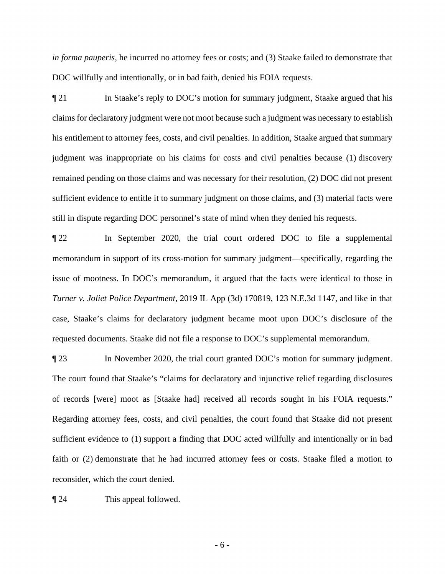*in forma pauperis*, he incurred no attorney fees or costs; and (3) Staake failed to demonstrate that DOC willfully and intentionally, or in bad faith, denied his FOIA requests.

 remained pending on those claims and was necessary for their resolution, (2) DOC did not present sufficient evidence to entitle it to summary judgment on those claims, and (3) material facts were **The FOIA FOIA FOIA REGISTS.** In Staake's reply to DOC's motion for summary judgment, Staake argued that his Toclaims for declaratory judgment were not moot because such a judgment was necessary to establish his entitlement to attorney fees, costs, and civil penalties. In addition, Staake argued that summary judgment was inappropriate on his claims for costs and civil penalties because (1) discovery still in dispute regarding DOC personnel's state of mind when they denied his requests.

 ¶ 22 In September 2020, the trial court ordered DOC to file a supplemental memorandum in support of its cross-motion for summary judgment—specifically, regarding the issue of mootness. In DOC's memorandum, it argued that the facts were identical to those in *Turner v. Joliet Police Department*, 2019 IL App (3d) 170819, 123 N.E.3d 1147, and like in that case, Staake's claims for declaratory judgment became moot upon DOC's disclosure of the requested documents. Staake did not file a response to DOC's supplemental memorandum.

 sufficient evidence to (1) support a finding that DOC acted willfully and intentionally or in bad ¶ 23 In November 2020, the trial court granted DOC's motion for summary judgment. The court found that Staake's "claims for declaratory and injunctive relief regarding disclosures of records [were] moot as [Staake had] received all records sought in his FOIA requests." Regarding attorney fees, costs, and civil penalties, the court found that Staake did not present faith or (2) demonstrate that he had incurred attorney fees or costs. Staake filed a motion to reconsider, which the court denied.

¶ 24 This appeal followed.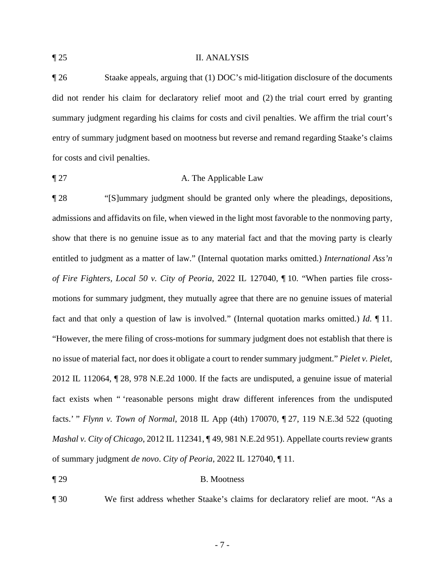#### ¶ 25 II. ANALYSIS

 ¶ 26 Staake appeals, arguing that (1) DOC's mid-litigation disclosure of the documents did not render his claim for declaratory relief moot and (2) the trial court erred by granting entry of summary judgment based on mootness but reverse and remand regarding Staake's claims summary judgment regarding his claims for costs and civil penalties. We affirm the trial court's for costs and civil penalties.

# **The Applicable Law A. The Applicable Law**

 fact and that only a question of law is involved." (Internal quotation marks omitted.) *Id.* ¶ 11. fact exists when " 'reasonable persons might draw different inferences from the undisputed ¶ 28 "[S]ummary judgment should be granted only where the pleadings, depositions, admissions and affidavits on file, when viewed in the light most favorable to the nonmoving party, show that there is no genuine issue as to any material fact and that the moving party is clearly entitled to judgment as a matter of law." (Internal quotation marks omitted.) *International Ass'n of Fire Fighters, Local 50 v. City of Peoria*, 2022 IL 127040, ¶ 10. "When parties file crossmotions for summary judgment, they mutually agree that there are no genuine issues of material "However, the mere filing of cross-motions for summary judgment does not establish that there is no issue of material fact, nor does it obligate a court to render summary judgment." *Pielet v. Pielet*, 2012 IL 112064, ¶ 28, 978 N.E.2d 1000. If the facts are undisputed, a genuine issue of material facts.' " *Flynn v. Town of Normal*, 2018 IL App (4th) 170070, ¶ 27, 119 N.E.3d 522 (quoting *Mashal v. City of Chicago*, 2012 IL 112341, ¶ 49, 981 N.E.2d 951). Appellate courts review grants of summary judgment *de novo*. *City of Peoria*, 2022 IL 127040, ¶ 11.

### ¶ 29 B. Mootness

¶ 30 We first address whether Staake's claims for declaratory relief are moot. "As a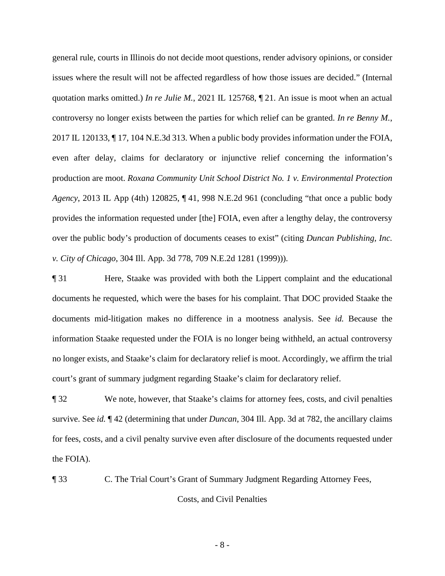production are moot. *Roxana Community Unit School District No. 1 v. Environmental Protection*  general rule, courts in Illinois do not decide moot questions, render advisory opinions, or consider issues where the result will not be affected regardless of how those issues are decided." (Internal quotation marks omitted.) *In re Julie M.*, 2021 IL 125768, ¶ 21. An issue is moot when an actual controversy no longer exists between the parties for which relief can be granted. *In re Benny M.*, 2017 IL 120133, ¶ 17, 104 N.E.3d 313. When a public body provides information under the FOIA, even after delay, claims for declaratory or injunctive relief concerning the information's *Agency*, 2013 IL App (4th) 120825, ¶ 41, 998 N.E.2d 961 (concluding "that once a public body provides the information requested under [the] FOIA, even after a lengthy delay, the controversy over the public body's production of documents ceases to exist" (citing *Duncan Publishing, Inc. v. City of Chicago*, 304 Ill. App. 3d 778, 709 N.E.2d 1281 (1999))).

¶ 31 Here, Staake was provided with both the Lippert complaint and the educational documents he requested, which were the bases for his complaint. That DOC provided Staake the documents mid-litigation makes no difference in a mootness analysis. See *id.* Because the information Staake requested under the FOIA is no longer being withheld, an actual controversy no longer exists, and Staake's claim for declaratory relief is moot. Accordingly, we affirm the trial court's grant of summary judgment regarding Staake's claim for declaratory relief.

 ¶ 32 We note, however, that Staake's claims for attorney fees, costs, and civil penalties survive. See *id.* ¶ 42 (determining that under *Duncan*, 304 Ill. App. 3d at 782, the ancillary claims for fees, costs, and a civil penalty survive even after disclosure of the documents requested under the FOIA).

¶ 33 C. The Trial Court's Grant of Summary Judgment Regarding Attorney Fees,

Costs, and Civil Penalties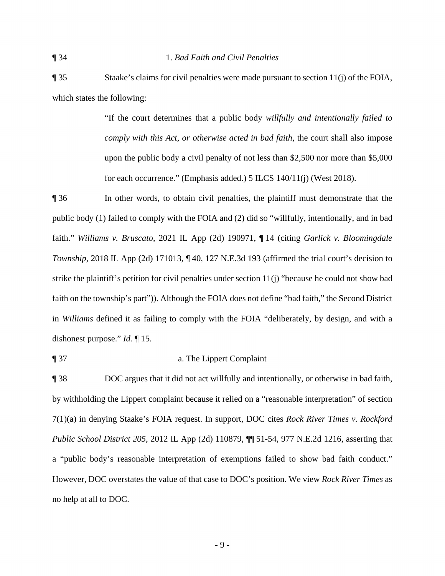¶ 35 Staake's claims for civil penalties were made pursuant to section 11(j) of the FOIA, which states the following:

> "If the court determines that a public body *willfully and intentionally failed to comply with this Act, or otherwise acted in bad faith*, the court shall also impose upon the public body a civil penalty of not less than \$2,500 nor more than \$5,000 for each occurrence." (Emphasis added.) 5 ILCS 140/11(j) (West 2018).

 public body (1) failed to comply with the FOIA and (2) did so "willfully, intentionally, and in bad ¶ 36 In other words, to obtain civil penalties, the plaintiff must demonstrate that the faith." *Williams v. Bruscato*, 2021 IL App (2d) 190971, ¶ 14 (citing *Garlick v. Bloomingdale Township*, 2018 IL App (2d) 171013,  $\P$  40, 127 N.E.3d 193 (affirmed the trial court's decision to strike the plaintiff's petition for civil penalties under section 11(j) "because he could not show bad faith on the township's part")). Although the FOIA does not define "bad faith," the Second District in *Williams* defined it as failing to comply with the FOIA "deliberately, by design, and with a dishonest purpose." *Id.* ¶ 15.

#### ¶ 37 a. The Lippert Complaint

¶ 38 DOC argues that it did not act willfully and intentionally, or otherwise in bad faith, by withholding the Lippert complaint because it relied on a "reasonable interpretation" of section 7(1)(a) in denying Staake's FOIA request. In support, DOC cites *Rock River Times v. Rockford Public School District 205*, 2012 IL App (2d) 110879, ¶¶ 51-54, 977 N.E.2d 1216, asserting that a "public body's reasonable interpretation of exemptions failed to show bad faith conduct." However, DOC overstates the value of that case to DOC's position. We view *Rock River Times* as no help at all to DOC.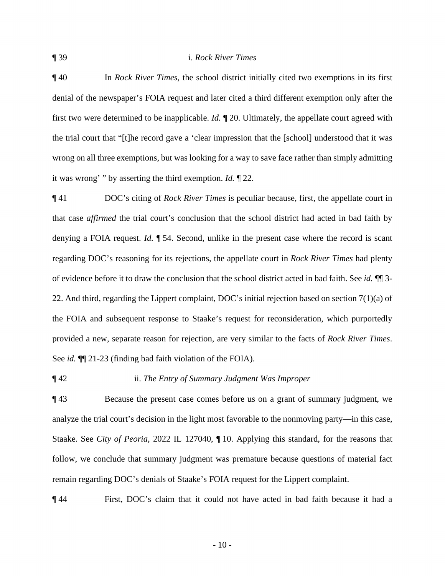#### ¶ 39 i. *Rock River Times*

 ¶ 40 In *Rock River Times*, the school district initially cited two exemptions in its first wrong on all three exemptions, but was looking for a way to save face rather than simply admitting denial of the newspaper's FOIA request and later cited a third different exemption only after the first two were determined to be inapplicable. *Id.* ¶ 20. Ultimately, the appellate court agreed with the trial court that "[t]he record gave a 'clear impression that the [school] understood that it was it was wrong' " by asserting the third exemption. *Id.* ¶ 22.

 ¶ 41 DOC's citing of *Rock River Times* is peculiar because, first, the appellate court in provided a new, separate reason for rejection, are very similar to the facts of *Rock River Times*. See *id.* ¶¶ 21-23 (finding bad faith violation of the FOIA). that case *affirmed* the trial court's conclusion that the school district had acted in bad faith by denying a FOIA request. *Id.* ¶ 54. Second, unlike in the present case where the record is scant regarding DOC's reasoning for its rejections, the appellate court in *Rock River Times* had plenty of evidence before it to draw the conclusion that the school district acted in bad faith. See *id.* ¶¶ 3- 22. And third, regarding the Lippert complaint, DOC's initial rejection based on section 7(1)(a) of the FOIA and subsequent response to Staake's request for reconsideration, which purportedly

¶ 42 ii. *The Entry of Summary Judgment Was Improper* 

 remain regarding DOC's denials of Staake's FOIA request for the Lippert complaint. ¶ 43 Because the present case comes before us on a grant of summary judgment, we analyze the trial court's decision in the light most favorable to the nonmoving party—in this case, Staake. See *City of Peoria*, 2022 IL 127040, ¶ 10. Applying this standard, for the reasons that follow, we conclude that summary judgment was premature because questions of material fact

¶ 44 First, DOC's claim that it could not have acted in bad faith because it had a

 $-10-$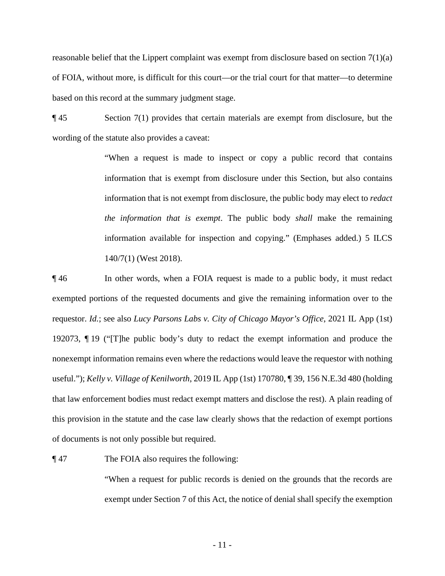reasonable belief that the Lippert complaint was exempt from disclosure based on section 7(1)(a) of FOIA, without more, is difficult for this court—or the trial court for that matter—to determine based on this record at the summary judgment stage.

wording of the statute also provides a caveat: wording of the statute also provides a caveat:<br>"When a request is made to inspect or copy a public record that contains" ¶ 45 Section 7(1) provides that certain materials are exempt from disclosure, but the

information that is exempt from disclosure under this Section, but also contains information that is not exempt from disclosure, the public body may elect to *redact the information that is exempt.* The public body *shall* make the remaining information available for inspection and copying." (Emphases added.) 5 ILCS 140/7(1) (West 2018).

 ¶ 46 In other words, when a FOIA request is made to a public body, it must redact exempted portions of the requested documents and give the remaining information over to the requestor. *Id.*; see also *Lucy Parsons Labs v. City of Chicago Mayor's Office*, 2021 IL App (1st) 192073, ¶ 19 ("[T]he public body's duty to redact the exempt information and produce the nonexempt information remains even where the redactions would leave the requestor with nothing useful."); *Kelly v. Village of Kenilworth*, 2019 IL App (1st) 170780, ¶ 39, 156 N.E.3d 480 (holding that law enforcement bodies must redact exempt matters and disclose the rest). A plain reading of this provision in the statute and the case law clearly shows that the redaction of exempt portions of documents is not only possible but required.

The FOIA also requires the following:

 exempt under Section 7 of this Act, the notice of denial shall specify the exemption The FOIA also requires the following:<br>"When a request for public records is denied on the grounds that the records are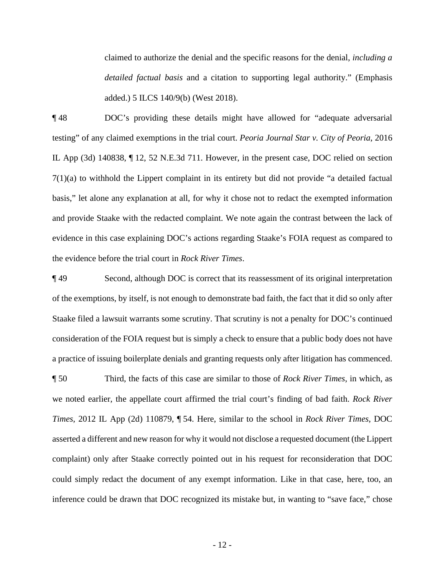added.) 5 ILCS 140/9(b) (West 2018). claimed to authorize the denial and the specific reasons for the denial, *including a detailed factual basis* and a citation to supporting legal authority." (Emphasis

 7(1)(a) to withhold the Lippert complaint in its entirety but did not provide "a detailed factual evidence in this case explaining DOC's actions regarding Staake's FOIA request as compared to **148** DOC's providing these details might have allowed for "adequate adversarial" testing" of any claimed exemptions in the trial court. *Peoria Journal Star v. City of Peoria*, 2016 IL App (3d) 140838, ¶ 12, 52 N.E.3d 711. However, in the present case, DOC relied on section basis," let alone any explanation at all, for why it chose not to redact the exempted information and provide Staake with the redacted complaint. We note again the contrast between the lack of the evidence before the trial court in *Rock River Times*.

 Staake filed a lawsuit warrants some scrutiny. That scrutiny is not a penalty for DOC's continued ¶ 49 Second, although DOC is correct that its reassessment of its original interpretation of the exemptions, by itself, is not enough to demonstrate bad faith, the fact that it did so only after consideration of the FOIA request but is simply a check to ensure that a public body does not have a practice of issuing boilerplate denials and granting requests only after litigation has commenced.

 asserted a different and new reason for why it would not disclose a requested document (the Lippert ¶ 50 Third, the facts of this case are similar to those of *Rock River Times*, in which, as we noted earlier, the appellate court affirmed the trial court's finding of bad faith. *Rock River Times*, 2012 IL App (2d) 110879, ¶ 54. Here, similar to the school in *Rock River Times*, DOC complaint) only after Staake correctly pointed out in his request for reconsideration that DOC could simply redact the document of any exempt information. Like in that case, here, too, an inference could be drawn that DOC recognized its mistake but, in wanting to "save face," chose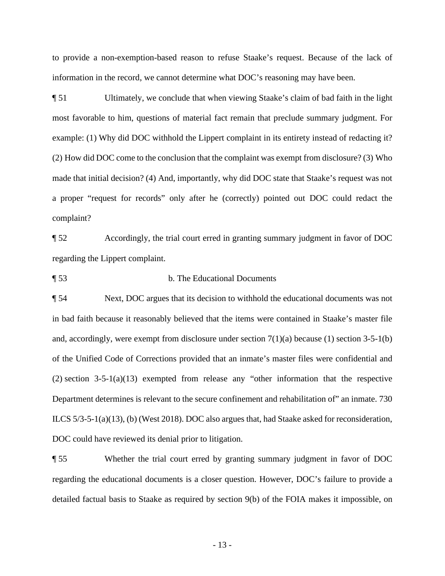to provide a non-exemption-based reason to refuse Staake's request. Because of the lack of information in the record, we cannot determine what DOC's reasoning may have been.

 example: (1) Why did DOC withhold the Lippert complaint in its entirety instead of redacting it? made that initial decision? (4) And, importantly, why did DOC state that Staake's request was not a proper "request for records" only after he (correctly) pointed out DOC could redact the ¶ 51 Ultimately, we conclude that when viewing Staake's claim of bad faith in the light most favorable to him, questions of material fact remain that preclude summary judgment. For (2) How did DOC come to the conclusion that the complaint was exempt from disclosure? (3) Who complaint?

 ¶ 52 Accordingly, the trial court erred in granting summary judgment in favor of DOC regarding the Lippert complaint.

¶ 53 b. The Educational Documents

 and, accordingly, were exempt from disclosure under section 7(1)(a) because (1) section 3-5-1(b) of the Unified Code of Corrections provided that an inmate's master files were confidential and ¶ 54 Next, DOC argues that its decision to withhold the educational documents was not in bad faith because it reasonably believed that the items were contained in Staake's master file (2) section 3-5-1(a)(13) exempted from release any "other information that the respective Department determines is relevant to the secure confinement and rehabilitation of" an inmate. 730 ILCS 5/3-5-1(a)(13), (b) (West 2018). DOC also argues that, had Staake asked for reconsideration, DOC could have reviewed its denial prior to litigation.

 ¶ 55 Whether the trial court erred by granting summary judgment in favor of DOC regarding the educational documents is a closer question. However, DOC's failure to provide a detailed factual basis to Staake as required by section 9(b) of the FOIA makes it impossible, on

- 13 -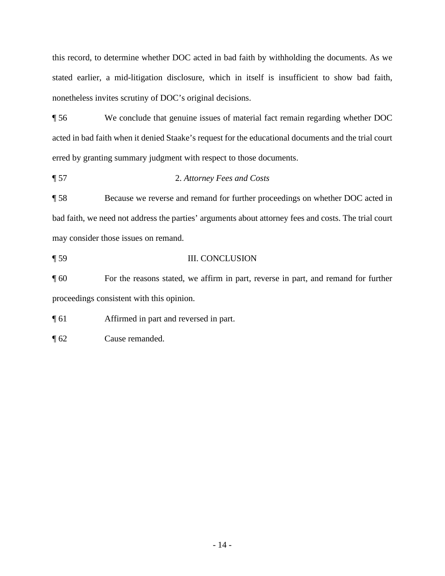this record, to determine whether DOC acted in bad faith by withholding the documents. As we stated earlier, a mid-litigation disclosure, which in itself is insufficient to show bad faith, nonetheless invites scrutiny of DOC's original decisions.

¶ 56 We conclude that genuine issues of material fact remain regarding whether DOC acted in bad faith when it denied Staake's request for the educational documents and the trial court erred by granting summary judgment with respect to those documents.

¶ 57 2. *Attorney Fees and Costs* 

¶ 58 Because we reverse and remand for further proceedings on whether DOC acted in bad faith, we need not address the parties' arguments about attorney fees and costs. The trial court may consider those issues on remand.

¶ 59 III. CONCLUSION

¶ 60 For the reasons stated, we affirm in part, reverse in part, and remand for further proceedings consistent with this opinion.

¶ 61 Affirmed in part and reversed in part.

¶ 62 Cause remanded.